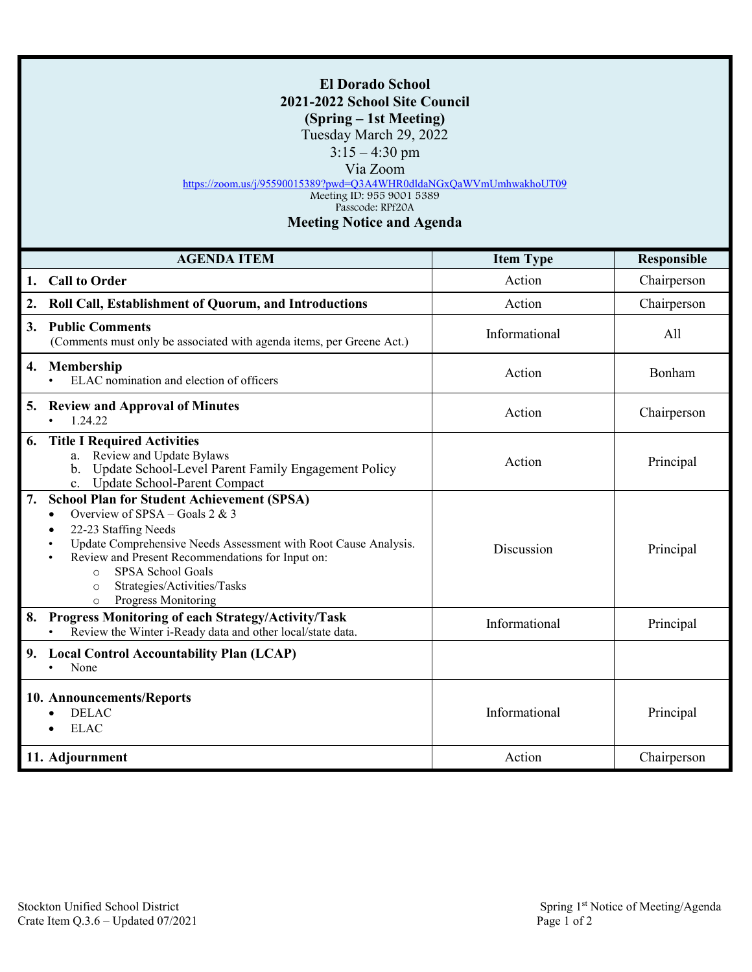## **El Dorado School 2021-2022 School Site Council (Spring – 1st Meeting)** Tuesday March 29, 2022 3:15 – 4:30 pm Via Zoom <https://zoom.us/j/95590015389?pwd=Q3A4WHR0dldaNGxQaWVmUmhwakhoUT09> Meeting ID: 955 9001 5389 Passcode: RPf20A **Meeting Notice and Agenda AGENDA ITEM Item Type Responsible**

| 1. | <b>Call to Order</b>                                                                                                                                                                                                                                                                                                                                                     | Action        | Chairperson |
|----|--------------------------------------------------------------------------------------------------------------------------------------------------------------------------------------------------------------------------------------------------------------------------------------------------------------------------------------------------------------------------|---------------|-------------|
| 2. | Roll Call, Establishment of Quorum, and Introductions                                                                                                                                                                                                                                                                                                                    | Action        | Chairperson |
|    | 3. Public Comments<br>(Comments must only be associated with agenda items, per Greene Act.)                                                                                                                                                                                                                                                                              | Informational | All         |
|    | 4. Membership<br>ELAC nomination and election of officers                                                                                                                                                                                                                                                                                                                | Action        | Bonham      |
|    | 5. Review and Approval of Minutes<br>1.24.22                                                                                                                                                                                                                                                                                                                             | Action        | Chairperson |
| 6. | <b>Title I Required Activities</b><br>a. Review and Update Bylaws<br>b. Update School-Level Parent Family Engagement Policy<br>c. Update School-Parent Compact                                                                                                                                                                                                           | Action        | Principal   |
| 7. | <b>School Plan for Student Achievement (SPSA)</b><br>Overview of SPSA – Goals 2 & 3<br>$\bullet$<br>22-23 Staffing Needs<br>$\bullet$<br>Update Comprehensive Needs Assessment with Root Cause Analysis.<br>Review and Present Recommendations for Input on:<br>SPSA School Goals<br>$\circ$<br>Strategies/Activities/Tasks<br>$\circ$<br>Progress Monitoring<br>$\circ$ | Discussion    | Principal   |
| 8. | Progress Monitoring of each Strategy/Activity/Task<br>Review the Winter i-Ready data and other local/state data.                                                                                                                                                                                                                                                         | Informational | Principal   |
| 9. | <b>Local Control Accountability Plan (LCAP)</b><br>None                                                                                                                                                                                                                                                                                                                  |               |             |
|    | 10. Announcements/Reports<br><b>DELAC</b><br>$\bullet$<br><b>ELAC</b>                                                                                                                                                                                                                                                                                                    | Informational | Principal   |
|    | 11. Adjournment                                                                                                                                                                                                                                                                                                                                                          | Action        | Chairperson |